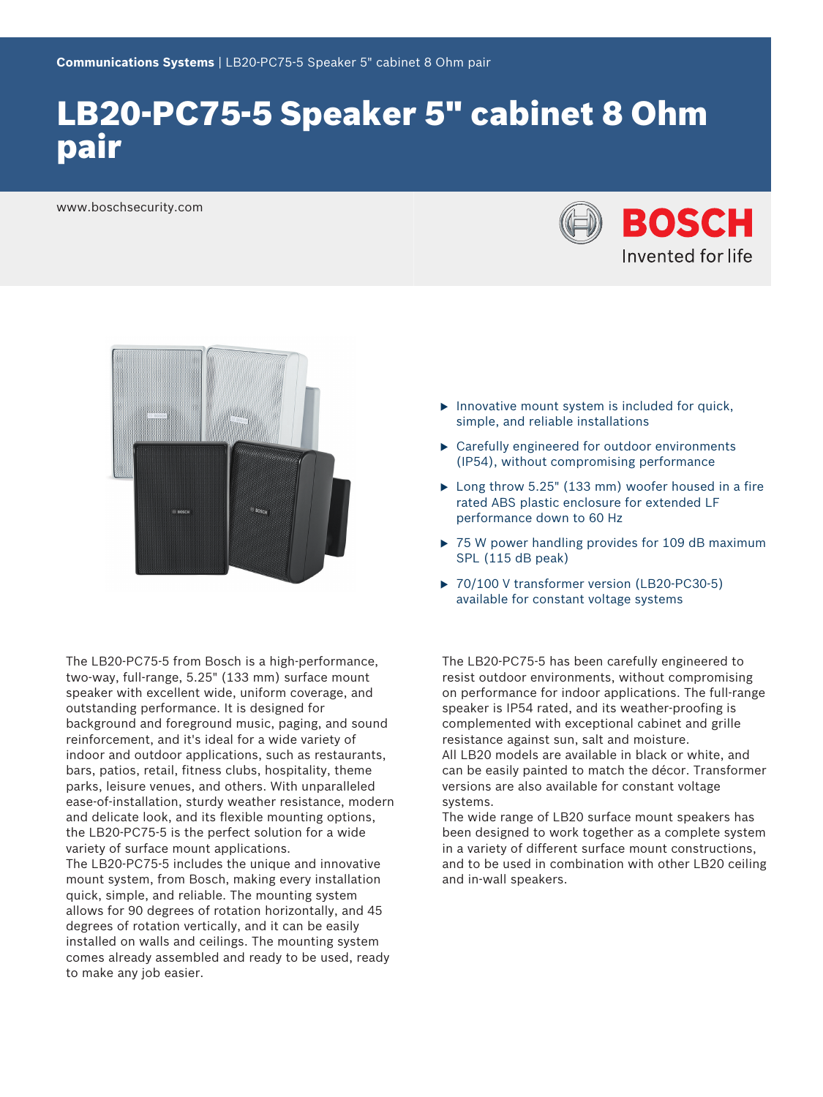# LB20-PC75-5 Speaker 5" cabinet 8 Ohm pair

www.boschsecurity.com





The LB20-PC75-5 from Bosch is a high-performance, two-way, full-range, 5.25" (133 mm) surface mount speaker with excellent wide, uniform coverage, and outstanding performance. It is designed for background and foreground music, paging, and sound reinforcement, and it's ideal for a wide variety of indoor and outdoor applications, such as restaurants, bars, patios, retail, fitness clubs, hospitality, theme parks, leisure venues, and others. With unparalleled ease-of-installation, sturdy weather resistance, modern and delicate look, and its flexible mounting options, the LB20-PC75-5 is the perfect solution for a wide variety of surface mount applications. The LB20-PC75-5 includes the unique and innovative mount system, from Bosch, making every installation quick, simple, and reliable. The mounting system allows for 90 degrees of rotation horizontally, and 45 degrees of rotation vertically, and it can be easily installed on walls and ceilings. The mounting system comes already assembled and ready to be used, ready to make any job easier.

- $\blacktriangleright$  Innovative mount system is included for quick, simple, and reliable installations
- $\blacktriangleright$  Carefully engineered for outdoor environments (IP54), without compromising performance
- $\blacktriangleright$  Long throw 5.25" (133 mm) woofer housed in a fire rated ABS plastic enclosure for extended LF performance down to 60 Hz
- $\triangleright$  75 W power handling provides for 109 dB maximum SPL (115 dB peak)
- ▶ 70/100 V transformer version (LB20-PC30-5) available for constant voltage systems

The LB20-PC75-5 has been carefully engineered to resist outdoor environments, without compromising on performance for indoor applications. The full-range speaker is IP54 rated, and its weather-proofing is complemented with exceptional cabinet and grille resistance against sun, salt and moisture. All LB20 models are available in black or white, and can be easily painted to match the décor. Transformer versions are also available for constant voltage systems.

The wide range of LB20 surface mount speakers has been designed to work together as a complete system in a variety of different surface mount constructions, and to be used in combination with other LB20 ceiling and in-wall speakers.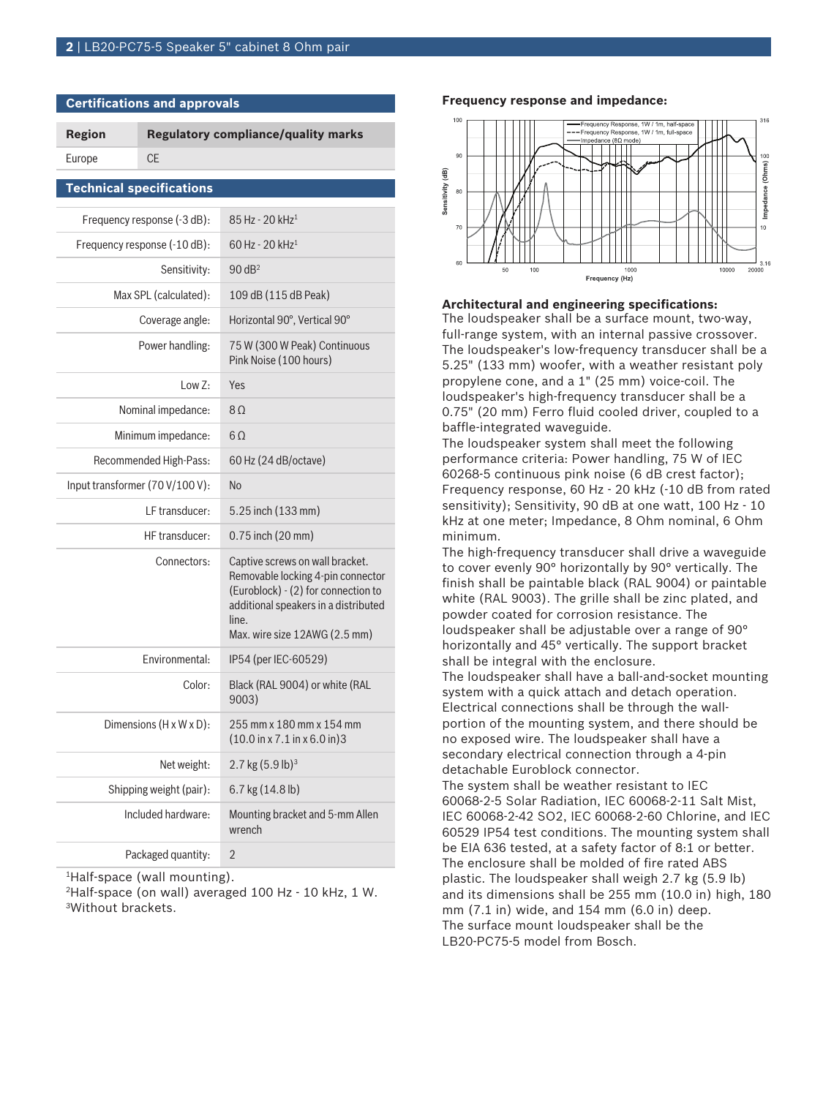**Certifications and approvals**

| <b>Region</b>                   |           | <b>Regulatory compliance/quality marks</b>                                                                                                                                                    |
|---------------------------------|-----------|-----------------------------------------------------------------------------------------------------------------------------------------------------------------------------------------------|
| Europe                          | <b>CE</b> |                                                                                                                                                                                               |
| <b>Technical specifications</b> |           |                                                                                                                                                                                               |
| Frequency response (-3 dB):     |           | 85 Hz - 20 kHz <sup>1</sup>                                                                                                                                                                   |
| Frequency response (-10 dB):    |           | 60 Hz - 20 kHz <sup>1</sup>                                                                                                                                                                   |
| Sensitivity:                    |           | $90$ dB <sup>2</sup>                                                                                                                                                                          |
| Max SPL (calculated):           |           | 109 dB (115 dB Peak)                                                                                                                                                                          |
| Coverage angle:                 |           | Horizontal 90°, Vertical 90°                                                                                                                                                                  |
| Power handling:                 |           | 75 W (300 W Peak) Continuous<br>Pink Noise (100 hours)                                                                                                                                        |
| LowZ:                           |           | Yes                                                                                                                                                                                           |
| Nominal impedance:              |           | 8 <sub>0</sub>                                                                                                                                                                                |
| Minimum impedance:              |           | $6\Omega$                                                                                                                                                                                     |
| Recommended High-Pass:          |           | 60 Hz (24 dB/octave)                                                                                                                                                                          |
| Input transformer (70 V/100 V): |           | No                                                                                                                                                                                            |
| LF transducer:                  |           | 5.25 inch (133 mm)                                                                                                                                                                            |
| HF transducer:                  |           | 0.75 inch (20 mm)                                                                                                                                                                             |
| Connectors:                     |           | Captive screws on wall bracket.<br>Removable locking 4-pin connector<br>(Euroblock) - (2) for connection to<br>additional speakers in a distributed<br>line.<br>Max. wire size 12AWG (2.5 mm) |
| Environmental:                  |           | IP54 (per IEC-60529)                                                                                                                                                                          |
| Color:                          |           | Black (RAL 9004) or white (RAL<br>9003)                                                                                                                                                       |
| Dimensions (H x W x D):         |           | 255 mm x 180 mm x 154 mm<br>$(10.0 \text{ in } x 7.1 \text{ in } x 6.0 \text{ in})$ 3                                                                                                         |
| Net weight:                     |           | 2.7 kg $(5.9 \text{ lb})^3$                                                                                                                                                                   |
| Shipping weight (pair):         |           | 6.7 kg (14.8 lb)                                                                                                                                                                              |
| Included hardware:              |           | Mounting bracket and 5-mm Allen<br>wrench                                                                                                                                                     |
| Packaged quantity:              |           | 2                                                                                                                                                                                             |

<sup>1</sup>Half-space (wall mounting).

<sup>2</sup>Half-space (on wall) averaged 100 Hz - 10 kHz, 1 W. <sup>3</sup>Without brackets.

#### **Frequency response and impedance:**



#### **Architectural and engineering specifications:**

The loudspeaker shall be a surface mount, two-way, full-range system, with an internal passive crossover. The loudspeaker's low-frequency transducer shall be a 5.25" (133 mm) woofer, with a weather resistant poly propylene cone, and a 1" (25 mm) voice-coil. The loudspeaker's high-frequency transducer shall be a 0.75" (20 mm) Ferro fluid cooled driver, coupled to a baffle-integrated waveguide.

The loudspeaker system shall meet the following performance criteria: Power handling, 75 W of IEC 60268-5 continuous pink noise (6 dB crest factor); Frequency response, 60 Hz - 20 kHz (-10 dB from rated sensitivity); Sensitivity, 90 dB at one watt, 100 Hz - 10 kHz at one meter; Impedance, 8 Ohm nominal, 6 Ohm minimum.

The high-frequency transducer shall drive a waveguide to cover evenly 90° horizontally by 90° vertically. The finish shall be paintable black (RAL 9004) or paintable white (RAL 9003). The grille shall be zinc plated, and powder coated for corrosion resistance. The loudspeaker shall be adjustable over a range of 90° horizontally and 45° vertically. The support bracket shall be integral with the enclosure.

The loudspeaker shall have a ball-and-socket mounting system with a quick attach and detach operation. Electrical connections shall be through the wallportion of the mounting system, and there should be no exposed wire. The loudspeaker shall have a secondary electrical connection through a 4-pin detachable Euroblock connector.

The system shall be weather resistant to IEC 60068-2-5 Solar Radiation, IEC 60068-2-11 Salt Mist, IEC 60068-2-42 SO2, IEC 60068-2-60 Chlorine, and IEC 60529 IP54 test conditions. The mounting system shall be EIA 636 tested, at a safety factor of 8:1 or better. The enclosure shall be molded of fire rated ABS plastic. The loudspeaker shall weigh 2.7 kg (5.9 lb) and its dimensions shall be 255 mm (10.0 in) high, 180 mm (7.1 in) wide, and 154 mm (6.0 in) deep. The surface mount loudspeaker shall be the LB20-PC75-5 model from Bosch.